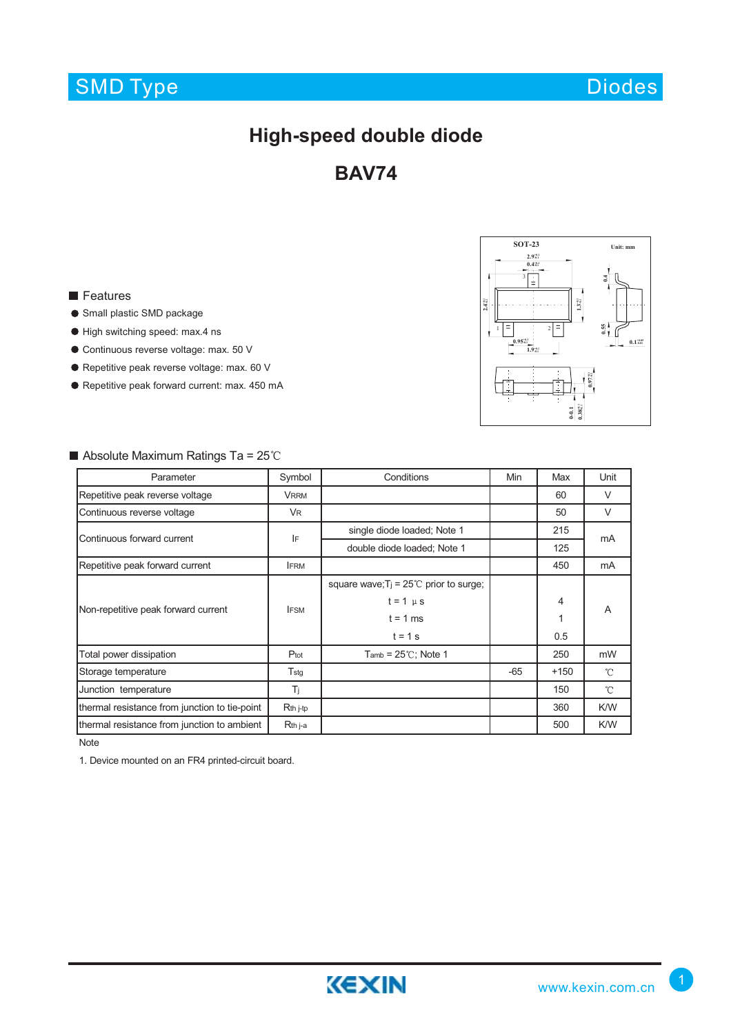## SMD Type

Diodes

## **High-speed double diode**

**BAV74**

### **Features**

- Small plastic SMD package
- High switching speed: max.4 ns
- Continuous reverse voltage: max. 50 V
- Repetitive peak reverse voltage: max. 60 V
- Repetitive peak forward current: max. 450 mA



### Absolute Maximum Ratings Ta =  $25^{\circ}$ C Parameter **Symbol Conditions** Min Max Unit Repetitive peak reverse voltage VRRM VRRM VRRM 60 V Continuous reverse voltage The Marian Continuous reverse voltage The VR 50 | VR 50 | V single diode loaded; Note 1 | 215 double diode loaded; Note 1 125 Repetitive peak forward current **IFRM** IFRM **IFRM IFRM IFRM IFRM IFRM IFRM IFRM IFRM** square wave;  $T_j = 25^{\circ}$  prior to surge;  $t = 1 \mu s$  4  $t = 1$  ms  $1$  1  $t = 1 s$  0.5 Total power dissipation **F**ot Ptot Tamb = 25 °C; Note 1 250 mW Storage temperature Tstg Fistal Control of the Tstg and Tstg and Tstg and Tstg and Tstg and Tstg and Tstg and Tstg and Tstg and Tstg and Tstg and Tstg and Tstg and Tstg and Tstg and Tstg and Tstg and Tstg and Tstg and Tstg Junction temperature and the set of the Tj 150 month of the 150 month of the 150 month of the 150 month of the 150 month of the 150 month of the 150 month of the 150 month of the 150 month of the 150 month of the 150 month thermal resistance from junction to tie-point Rth j-tp 360 K/W thermal resistance from junction to ambient Rth j-a 500 K/W mA Non-repetitive peak forward current **IFSM** Continuous forward current **IF**

Note

1. Device mounted on an FR4 printed-circuit board.

A

 $\rm ^{\circ}C$  $\mathcal{C}$